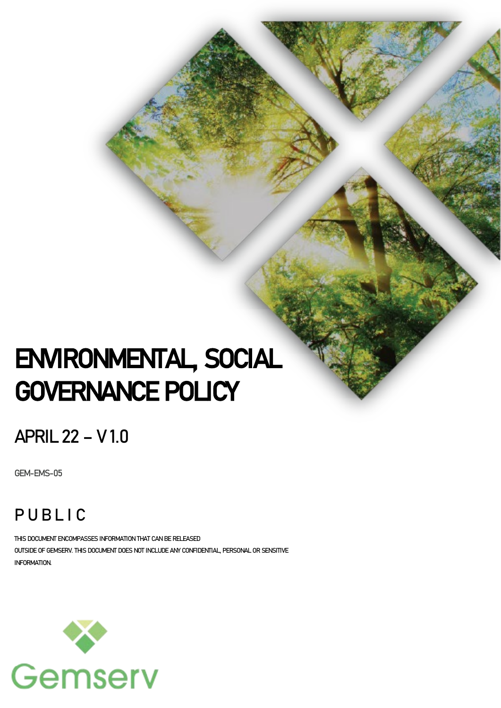# ENVIRONMENTAL, SOCIAL GOVERNANCE POLICY

# APRIL 22 – V 1.0

GEM-EMS-05

# PUBLIC

THIS DOCUMENT ENCOMPASSES INFORMATION THAT CAN BE RELEASED OUTSIDE OF GEMSERV. THIS DOCUMENT DOES NOT INCLUDE ANY CONFIDENTIAL, PERSONAL OR SENSITIVE INFORMATION.

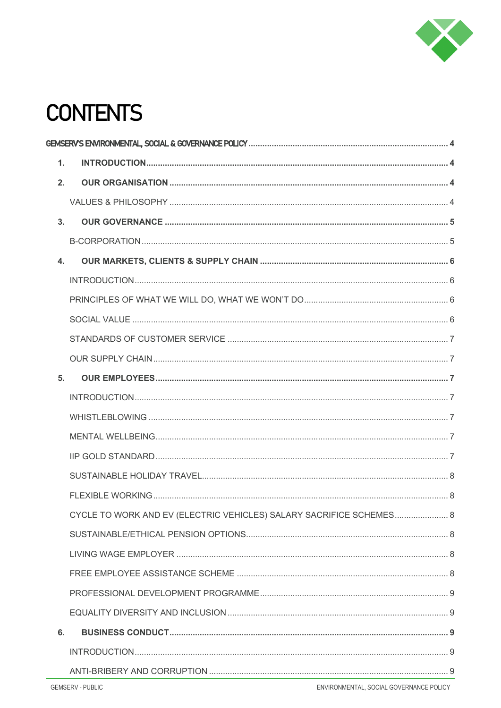

# **CONTENTS**

| $\mathbf{1}$ . |                                                                     |  |  |
|----------------|---------------------------------------------------------------------|--|--|
| 2.             |                                                                     |  |  |
|                |                                                                     |  |  |
| 3.             |                                                                     |  |  |
|                |                                                                     |  |  |
| 4.             |                                                                     |  |  |
|                |                                                                     |  |  |
|                |                                                                     |  |  |
|                |                                                                     |  |  |
|                |                                                                     |  |  |
|                |                                                                     |  |  |
| 5.             |                                                                     |  |  |
|                |                                                                     |  |  |
|                |                                                                     |  |  |
|                |                                                                     |  |  |
|                |                                                                     |  |  |
|                |                                                                     |  |  |
|                |                                                                     |  |  |
|                | CYCLE TO WORK AND EV (ELECTRIC VEHICLES) SALARY SACRIFICE SCHEMES 8 |  |  |
|                |                                                                     |  |  |
|                |                                                                     |  |  |
|                |                                                                     |  |  |
|                |                                                                     |  |  |
|                |                                                                     |  |  |
| 6.             |                                                                     |  |  |
|                |                                                                     |  |  |
|                |                                                                     |  |  |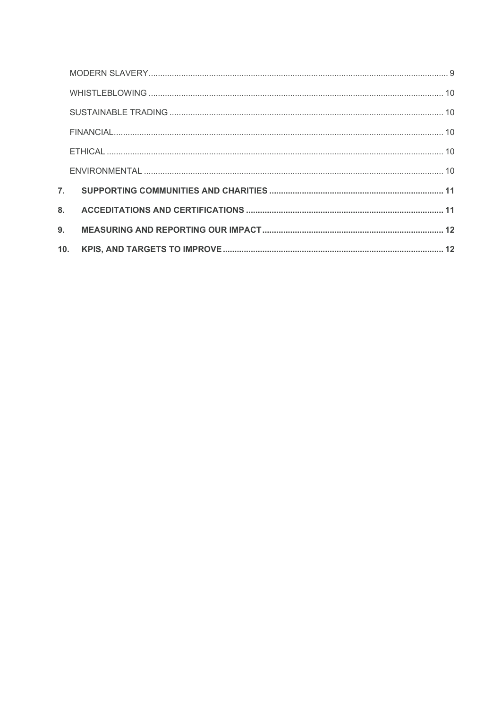| $\overline{7}$ . |  |
|------------------|--|
| $\mathbf{8}$     |  |
| 9.               |  |
| 10.              |  |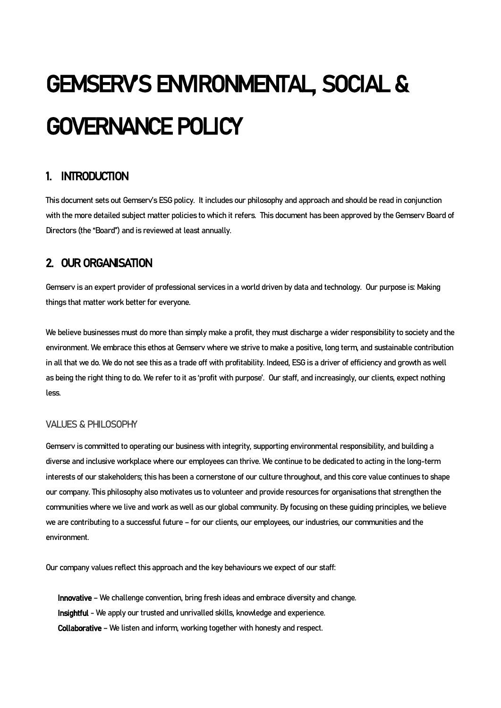# <span id="page-3-0"></span>GEMSERV'S ENVIRONMENTAL, SOCIAL & GOVERNANCE POLICY

# <span id="page-3-1"></span>1. INTRODUCTION

This document sets out Gemserv's ESG policy. It includes our philosophy and approach and should be read in conjunction with the more detailed subject matter policies to which it refers. This document has been approved by the Gemserv Board of Directors (the "Board") and is reviewed at least annually.

# <span id="page-3-2"></span>2. OUR ORGANISATION

Gemserv is an expert provider of professional services in a world driven by data and technology. Our purpose is: Making things that matter work better for everyone.

We believe businesses must do more than simply make a profit, they must discharge a wider responsibility to society and the environment. We embrace this ethos at Gemserv where we strive to make a positive, long term, and sustainable contribution in all that we do. We do not see this as a trade off with profitability. Indeed, ESG is a driver of efficiency and growth as well as being the right thing to do. We refer to it as 'profit with purpose'. Our staff, and increasingly, our clients, expect nothing less.

#### <span id="page-3-3"></span>VALUES& PHILOSOPHY

Gemserv is committed to operating our business with integrity, supporting environmental responsibility, and building a diverse and inclusive workplace where our employees can thrive. We continue to be dedicated to acting in the long-term interests of our stakeholders; this has been a cornerstone of our culture throughout, and this core value continues to shape our company. This philosophy also motivates us to volunteer and provide resources for organisations that strengthen the communities where we live and work as well as our global community. By focusing on these guiding principles, we believe we are contributing to a successful future – for our clients, our employees, our industries, our communities and the environment.

Our company values reflect this approach and the key behaviours we expect of our staff:

Innovative – We challenge convention, bring fresh ideas and embrace diversity and change. Insightful - We apply our trusted and unrivalled skills, knowledge and experience. Collaborative – We listen and inform, working together with honesty and respect.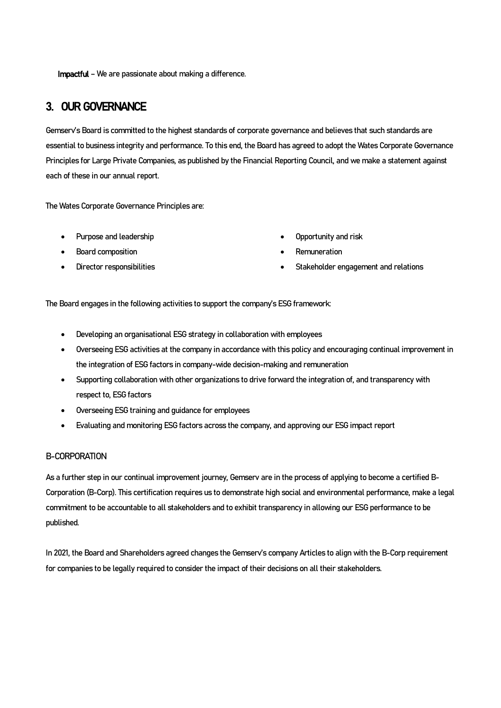Impactful – We are passionate about making a difference.

### <span id="page-4-0"></span>3. OUR GOVERNANCE

Gemserv's Board is committed to the highest standards of corporate governance and believes that such standards are essential to business integrity and performance. To this end, the Board has agreed to adopt the Wates Corporate Governance Principles for Large Private Companies, as published by the Financial Reporting Council, and we make a statement against each of these in our annual report.

The Wates Corporate Governance Principles are:

- Purpose and leadership
- Board composition
- Director responsibilities
- Opportunity and risk
- **Remuneration**
- Stakeholder engagement and relations

The Board engages in the following activities to support the company's ESG framework:

- Developing an organisational ESG strategy in collaboration with employees
- Overseeing ESG activities at the company in accordance with this policy and encouraging continual improvement in the integration of ESG factors in company-wide decision-making and remuneration
- Supporting collaboration with other organizations to drive forward the integration of, and transparency with respect to, ESG factors
- Overseeing ESG training and guidance for employees
- Evaluating and monitoring ESG factors across the company, and approving our ESG impact report

#### <span id="page-4-1"></span>B-CORPORATION

As a further step in our continual improvement journey, Gemserv are in the process of applying to become a certified B-Corporation (B-Corp). This certification requires us to demonstrate high social and environmental performance, make a legal commitment to be accountable to all stakeholders and to exhibit transparency in allowing our ESG performance to be published.

In 2021, the Board and Shareholders agreed changes the Gemserv's company Articles to align with the B-Corp requirement for companies to be legally required to consider the impact of their decisions on all their stakeholders.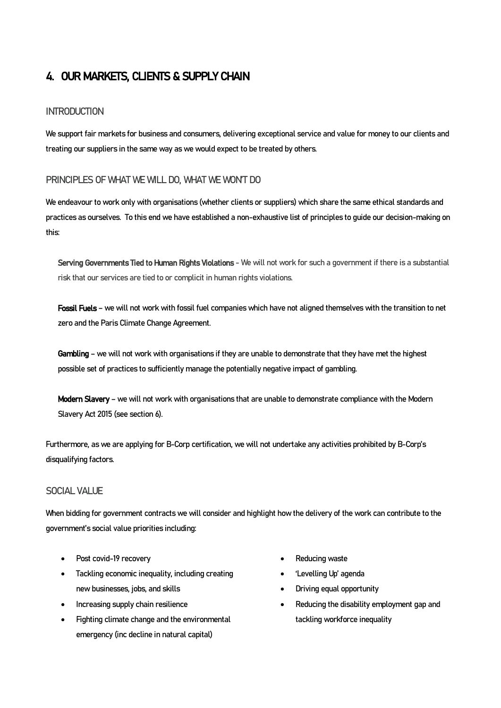# <span id="page-5-0"></span>4. OUR MARKETS, CLIENTS & SUPPLY CHAIN

#### <span id="page-5-1"></span>**INTRODUCTION**

We support fair markets for business and consumers, delivering exceptional service and value for money to our clients and treating our suppliers in the same way as we would expect to be treated by others.

#### <span id="page-5-2"></span>PRINCIPLES OF WHAT WE WILL DO, WHAT WE WON'T DO

We endeavour to work only with organisations (whether clients or suppliers) which share the same ethical standards and practices as ourselves. To this end we have established a non-exhaustive list of principles to guide our decision-making on this:

Serving Governments Tied to Human Rights Violations - We will not work for such a government if there is a substantial risk that our services are tied to or complicit in human rights violations.

Fossil Fuels - we will not work with fossil fuel companies which have not aligned themselves with the transition to net zero and the Paris Climate Change Agreement.

Gambling - we will not work with organisations if they are unable to demonstrate that they have met the highest possible set of practices to sufficiently manage the potentially negative impact of gambling.

Modern Slavery – we will not work with organisations that are unable to demonstrate compliance with the Modern Slavery Act 2015 (see section 6).

Furthermore, as we are applying for B-Corp certification, we will not undertake any activities prohibited by B-Corp's disqualifying factors.

#### <span id="page-5-3"></span>SOCIAL VALUE

When bidding for government contracts we will consider and highlight how the delivery of the work can contribute to the government's social value priorities including:

- Post covid-19 recovery
- Tackling economic inequality, including creating new businesses, jobs, and skills
- Increasing supply chain resilience
- Fighting climate change and the environmental emergency (inc decline in natural capital)
- Reducing waste
- 'Levelling Up' agenda
- Driving equal opportunity
- Reducing the disability employment gap and tackling workforce inequality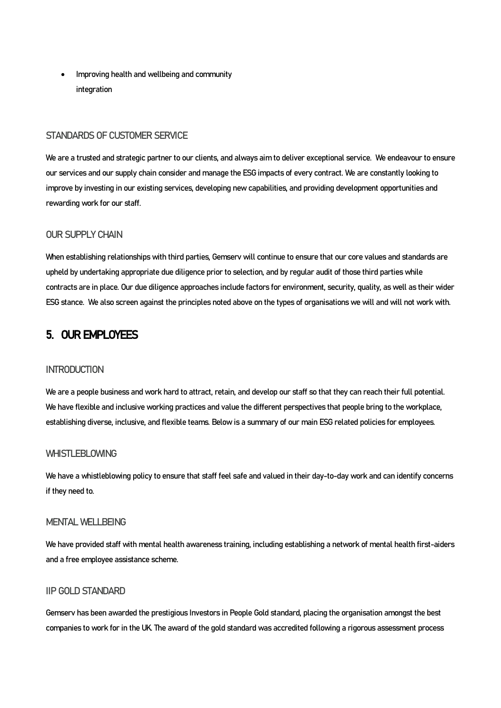• Improving health and wellbeing and community integration

#### <span id="page-6-0"></span>STANDARDS OF CUSTOMER SERVICE

We are a trusted and strategic partner to our clients, and always aim to deliver exceptional service. We endeavour to ensure our services and our supply chain consider and manage the ESG impacts of every contract. We are constantly looking to improve by investing in our existing services, developing new capabilities, and providing development opportunities and rewarding work for our staff.

#### <span id="page-6-1"></span>OUR SUPPLY CHAIN

When establishing relationships with third parties, Gemserv will continue to ensure that our core values and standards are upheld by undertaking appropriate due diligence prior to selection, and by regular audit of those third parties while contracts are in place. Our due diligence approaches include factors for environment, security, quality, as well as their wider ESG stance. We also screen against the principles noted above on the types of organisations we will and will not work with.

#### <span id="page-6-2"></span>5. OUR EMPLOYEES

#### <span id="page-6-3"></span>**INTRODUCTION**

We are a people business and work hard to attract, retain, and develop our staff so that they can reach their full potential. We have flexible and inclusive working practices and value the different perspectives that people bring to the workplace, establishing diverse, inclusive, and flexible teams. Below is a summary of our main ESG related policies for employees.

#### <span id="page-6-4"></span>WHISTLEBLOWING

We have a whistleblowing policy to ensure that staff feel safe and valued in their day-to-day work and can identify concerns if they need to.

#### <span id="page-6-5"></span>MENTAL WELLBEING

We have provided staff with mental health awareness training, including establishing a network of mental health first-aiders and a free employee assistance scheme.

#### <span id="page-6-6"></span>IIP GOLD STANDARD

Gemserv has been awarded the prestigious Investors in People Gold standard, placing the organisation amongst the best companies to work for in the UK. The award of the gold standard was accredited following a rigorous assessment process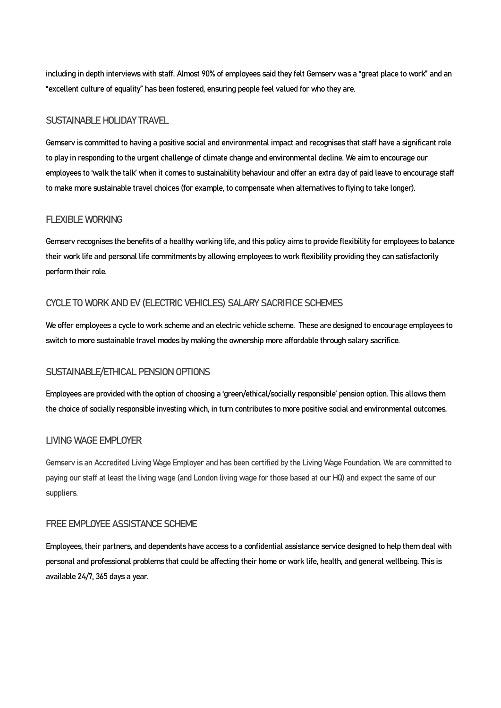including in depth interviews with staff. Almost 90% of employees said they felt Gemserv was a "great place to work" and an "excellent culture of equality" has been fostered, ensuring people feel valued for who they are.

#### <span id="page-7-0"></span>SUSTAINABLE HOLIDAY TRAVEL

Gemserv is committed to having a positive social and environmental impact and recognises that staff have a significant role to play in responding to the urgent challenge of climate change and environmental decline. We aim to encourage our employees to 'walk the talk' when it comes to sustainability behaviour and offer an extra day of paid leave to encourage staff to make more sustainable travel choices (for example, to compensate when alternatives to flying to take longer).

#### <span id="page-7-1"></span>FLEXIBLE WORKING

Gemserv recognises the benefits of a healthy working life, and this policy aims to provide flexibility for employees to balance their work life and personal life commitments by allowing employees to work flexibility providing they can satisfactorily perform their role.

#### <span id="page-7-2"></span>CYCLE TO WORK AND EV (ELECTRIC VEHICLES) SALARY SACRIFICE SCHEMES

We offer employees a cycle to work scheme and an electric vehicle scheme. These are designed to encourage employees to switch to more sustainable travel modes by making the ownership more affordable through salary sacrifice.

#### <span id="page-7-3"></span>SUSTAINABLE/ETHICAL PENSION OPTIONS

Employees are provided with the option of choosing a 'green/ethical/socially responsible' pension option. This allows them the choice of socially responsible investing which, in turn contributes to more positive social and environmental outcomes.

#### <span id="page-7-4"></span>LIVING WAGE EMPLOYER

Gemserv is an Accredited Living Wage Employer and has been certified by the Living Wage Foundation. We are committed to paying our staff at least the living wage (and London living wage for those based at our HQ) and expect the same of our suppliers.

#### <span id="page-7-5"></span>FREE EMPLOYEE ASSISTANCE SCHEME

Employees, their partners, and dependents have access to a confidential assistance service designed to help them deal with personal and professional problems that could be affecting their home or work life, health, and general wellbeing. This is available 24/7, 365 days a year.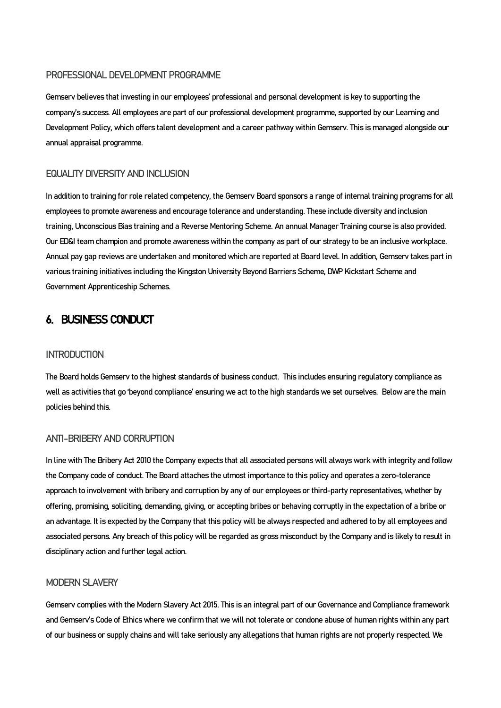#### <span id="page-8-0"></span>PROFESSIONAL DEVELOPMENT PROGRAMME

Gemserv believes that investing in our employees' professional and personal development is key to supporting the company's success. All employees are part of our professional development programme, supported by our Learning and Development Policy, which offers talent development and a career pathway within Gemserv. This is managed alongside our annual appraisal programme.

#### <span id="page-8-1"></span>FOLIALITY DIVERSITY AND INCLUSION

In addition to training for role related competency, the Gemserv Board sponsors a range of internal training programs for all employees to promote awareness and encourage tolerance and understanding. These include diversity and inclusion training, Unconscious Bias training and a Reverse Mentoring Scheme. An annual Manager Training course is also provided. Our ED&I team champion and promote awareness within the company as part of our strategy to be an inclusive workplace. Annual pay gap reviews are undertaken and monitored which are reported at Board level. In addition, Gemserv takes part in various training initiatives including the Kingston University Beyond Barriers Scheme, DWP Kickstart Scheme and Government Apprenticeship Schemes.

### <span id="page-8-2"></span>6. BUSINESS CONDUCT

#### <span id="page-8-3"></span>**INTRODUCTION**

The Board holds Gemserv to the highest standards of business conduct. This includes ensuring regulatory compliance as well as activities that go 'beyond compliance' ensuring we act to the high standards we set ourselves. Below are the main policies behind this.

#### <span id="page-8-4"></span>ANTI-BRIBERY AND CORRUPTION

In line with The Bribery Act 2010 the Company expects that all associated persons will always work with integrity and follow the Company code of conduct. The Board attaches the utmost importance to this policy and operates a zero-tolerance approach to involvement with bribery and corruption by any of our employees or third-party representatives, whether by offering, promising, soliciting, demanding, giving, or accepting bribes or behaving corruptly in the expectation of a bribe or an advantage. It is expected by the Company that this policy will be always respected and adhered to by all employees and associated persons. Any breach of this policy will be regarded as gross misconduct by the Company and is likely to result in disciplinary action and further legal action.

#### <span id="page-8-5"></span>MODERN SLAVERY

Gemserv complieswith the Modern Slavery Act 2015. This is an integral part of our Governance and Compliance framework and Gemserv's Code of Ethics where we confirm that we will not tolerate or condone abuse of human rights within any part of our business or supply chains and will take seriously any allegations that human rights are not properly respected. We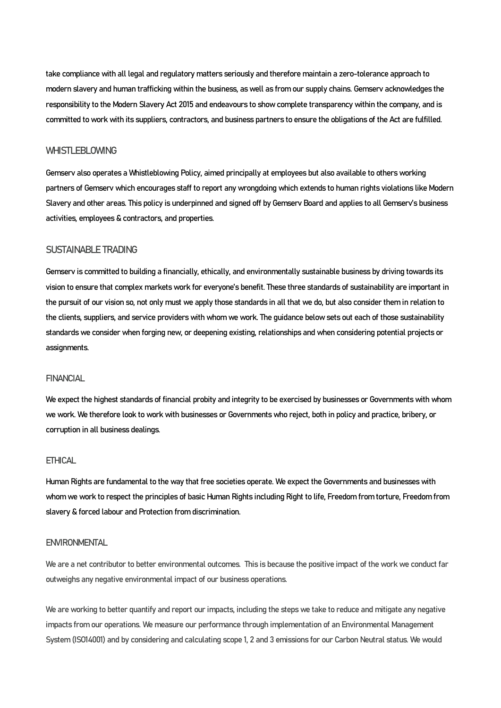take compliance with all legal and regulatory matters seriously and therefore maintain a zero-tolerance approach to modern slavery and human trafficking within the business, as well as from our supply chains. Gemserv acknowledges the responsibility to the Modern Slavery Act 2015 and endeavours to show complete transparency within the company, and is committed to work with its suppliers, contractors, and business partners to ensure the obligations of the Act are fulfilled.

#### <span id="page-9-0"></span>WHISTLEBLOWING

Gemserv also operates a Whistleblowing Policy, aimed principally at employees but also available to others working partners of Gemserv which encourages staff to report any wrongdoing which extends to human rights violations like Modern Slavery and other areas. This policy is underpinned and signed off by Gemserv Board and applies to all Gemserv's business activities, employees & contractors, and properties.

#### <span id="page-9-1"></span>SUSTAINABLE TRADING

Gemserv is committed to building a financially, ethically, and environmentally sustainable business by driving towards its vision to ensure that complex markets work for everyone's benefit. These three standards of sustainability are important in the pursuit of our vision so, not only must we apply those standards in all that we do, but also consider them in relation to the clients, suppliers, and service providers with whom we work. The guidance below sets out each of those sustainability standards we consider when forging new, or deepening existing, relationships and when considering potential projects or assignments.

#### <span id="page-9-2"></span>**FINANCIAL**

We expect the highest standards of financial probity and integrity to be exercised by businesses or Governments with whom we work. We therefore look to work with businesses or Governments who reject, both in policy and practice, bribery, or corruption in all business dealings.

#### <span id="page-9-3"></span>**FTHICAL**

Human Rights are fundamental to the way that free societies operate. We expect the Governments and businesses with whom we work to respect the principles of basic Human Rights including Right to life, Freedom from torture, Freedom from slavery & forced labour and Protection from discrimination.

#### <span id="page-9-4"></span>**ENVIRONMENTAL**

We are a net contributor to better environmental outcomes. This is because the positive impact of the work we conduct far outweighs any negative environmental impact of our business operations.

We are working to better quantify and report our impacts, including the steps we take to reduce and mitigate any negative impacts from our operations. We measure our performance through implementation of an Environmental Management System (ISO14001) and by considering and calculating scope 1, 2 and 3 emissions for our Carbon Neutral status. We would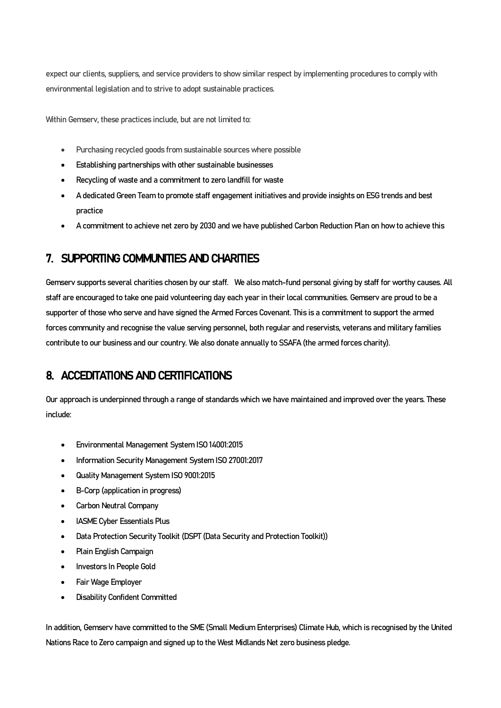expect our clients, suppliers, and service providers to show similar respect by implementing procedures to comply with environmental legislation and to strive to adopt sustainable practices.

Within Gemserv, these practices include, but are not limited to:

- Purchasing recycled goods from sustainable sources where possible
- Establishing partnerships with other sustainable businesses
- Recycling of waste and a commitment to zero landfill for waste
- A dedicated Green Team to promote staff engagement initiatives and provide insights on ESG trends and best practice
- A commitment to achieve net zero by 2030 and we have published Carbon Reduction Plan on howto achieve this

# <span id="page-10-0"></span>7. SUPPORTING COMMUNITIES AND CHARITIES

Gemserv supports several charities chosen by our staff. We also match-fund personal giving by staff for worthy causes. All staff are encouraged to take one paid volunteering day each year in their local communities. Gemserv are proud to be a supporter of those who serve and have signed the Armed Forces Covenant. This is a commitment to support the armed forces community and recognise the value serving personnel, both regular and reservists, veterans and military families contribute to our business and our country. We also donate annually to SSAFA(the armed forces charity).

# <span id="page-10-1"></span>8. ACCEDITATIONS AND CERTIFICATIONS

Our approach is underpinned through a range of standards which we have maintained and improved over the years. These include:

- Environmental Management System ISO 14001:2015
- Information Security Management System ISO 27001:2017
- Quality Management System ISO 9001:2015
- B-Corp (application in progress)
- Carbon Neutral Company
- IASME Cyber Essentials Plus
- Data Protection Security Toolkit (DSPT (Data Security and Protection Toolkit))
- Plain English Campaign
- Investors In People Gold
- Fair Wage Employer
- Disability Confident Committed

In addition, Gemserv have committed to the SME (Small Medium Enterprises) Climate Hub, which is recognised by the United Nations Race to Zero campaign and signed up to the West Midlands Net zero business pledge.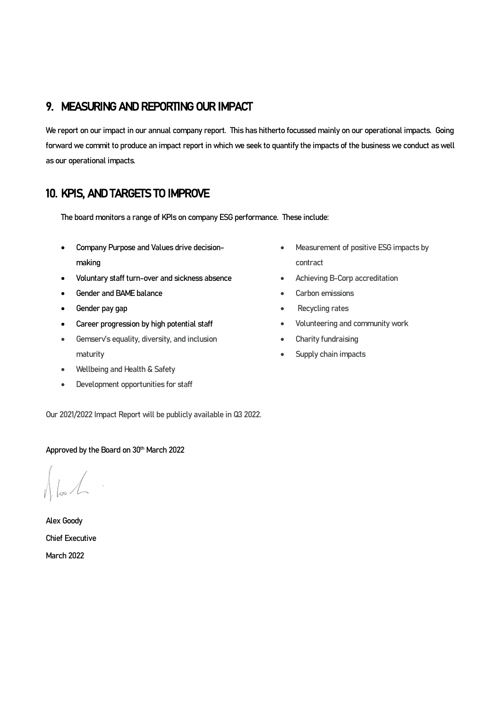# <span id="page-11-0"></span>9. MEASURING AND REPORTING OUR IMPACT

We report on our impact in our annual company report. This has hitherto focussed mainly on our operational impacts. Going forward we commit to produce an impact report in which we seek to quantify the impacts of the business we conduct as well as our operational impacts.

# <span id="page-11-1"></span>10. KPIS, AND TARGETS TO IMPROVE

The board monitors a range of KPIs on company ESG performance. These include:

- Company Purpose and Values drive decisionmaking
- Voluntary staff turn-over and sickness absence
- Gender and BAME balance
- Gender pay gap
- Career progression by high potential staff
- Gemserv's equality, diversity, and inclusion maturity
- Wellbeing and Health & Safety
- Development opportunities for staff
- Our 2021/2022 Impact Report will be publicly available in Q3 2022.

#### Approved by the Board on 30<sup>th</sup> March 2022

Alex Goody Chief Executive March 2022

- Measurement of positive ESG impacts by contract
- Achieving B-Corp accreditation
- Carbon emissions
- Recycling rates
- Volunteering and community work
- Charity fundraising
- Supply chain impacts